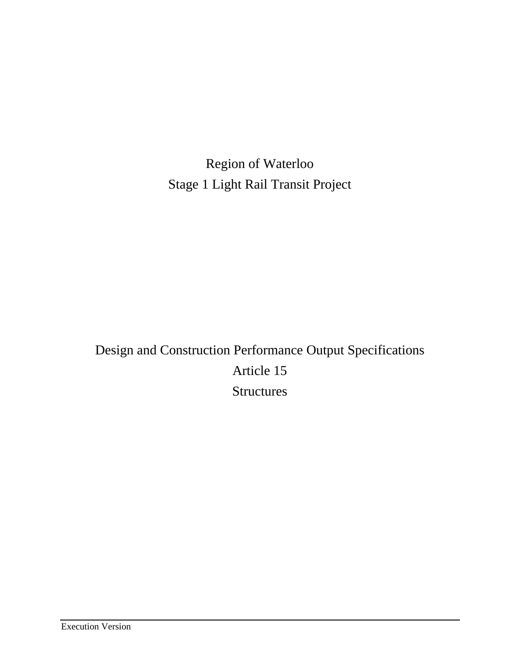Region of Waterloo Stage 1 Light Rail Transit Project

Design and Construction Performance Output Specifications Article 15 **Structures**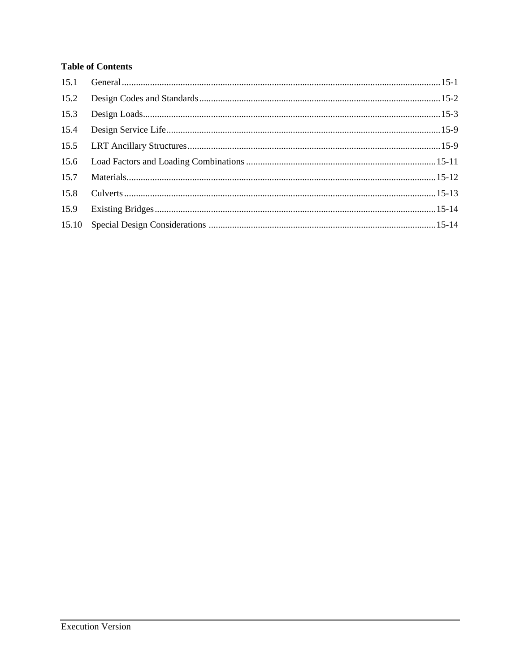# **Table of Contents**

| 15.2 |  |
|------|--|
| 15.3 |  |
|      |  |
|      |  |
|      |  |
| 15.7 |  |
| 15.8 |  |
| 15.9 |  |
|      |  |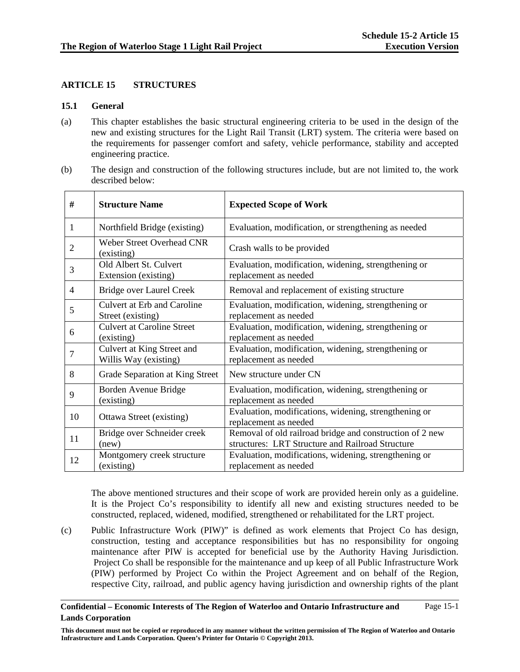## **ARTICLE 15 STRUCTURES**

#### **15.1 General**

- (a) This chapter establishes the basic structural engineering criteria to be used in the design of the new and existing structures for the Light Rail Transit (LRT) system. The criteria were based on the requirements for passenger comfort and safety, vehicle performance, stability and accepted engineering practice.
- (b) The design and construction of the following structures include, but are not limited to, the work described below:

| #              | <b>Structure Name</b>                                   | <b>Expected Scope of Work</b>                                                                                |
|----------------|---------------------------------------------------------|--------------------------------------------------------------------------------------------------------------|
| 1              | Northfield Bridge (existing)                            | Evaluation, modification, or strengthening as needed                                                         |
| $\overline{2}$ | <b>Weber Street Overhead CNR</b><br>(existing)          | Crash walls to be provided                                                                                   |
| 3              | Old Albert St. Culvert<br>Extension (existing)          | Evaluation, modification, widening, strengthening or<br>replacement as needed                                |
| $\overline{4}$ | Bridge over Laurel Creek                                | Removal and replacement of existing structure                                                                |
| 5              | <b>Culvert at Erb and Caroline</b><br>Street (existing) | Evaluation, modification, widening, strengthening or<br>replacement as needed                                |
| 6              | <b>Culvert at Caroline Street</b><br>(existing)         | Evaluation, modification, widening, strengthening or<br>replacement as needed                                |
| $\overline{7}$ | Culvert at King Street and<br>Willis Way (existing)     | Evaluation, modification, widening, strengthening or<br>replacement as needed                                |
| 8              | Grade Separation at King Street                         | New structure under CN                                                                                       |
| 9              | Borden Avenue Bridge<br>(existing)                      | Evaluation, modification, widening, strengthening or<br>replacement as needed                                |
| 10             | Ottawa Street (existing)                                | Evaluation, modifications, widening, strengthening or<br>replacement as needed                               |
| 11             | Bridge over Schneider creek<br>(new)                    | Removal of old railroad bridge and construction of 2 new<br>structures: LRT Structure and Railroad Structure |
| 12             | Montgomery creek structure<br>(existing)                | Evaluation, modifications, widening, strengthening or<br>replacement as needed                               |

The above mentioned structures and their scope of work are provided herein only as a guideline. It is the Project Co's responsibility to identify all new and existing structures needed to be constructed, replaced, widened, modified, strengthened or rehabilitated for the LRT project.

(c) Public Infrastructure Work (PIW)" is defined as work elements that Project Co has design, construction, testing and acceptance responsibilities but has no responsibility for ongoing maintenance after PIW is accepted for beneficial use by the Authority Having Jurisdiction. Project Co shall be responsible for the maintenance and up keep of all Public Infrastructure Work (PIW) performed by Project Co within the Project Agreement and on behalf of the Region, respective City, railroad, and public agency having jurisdiction and ownership rights of the plant

#### **Confidential – Economic Interests of The Region of Waterloo and Ontario Infrastructure and Lands Corporation**  Page 15-1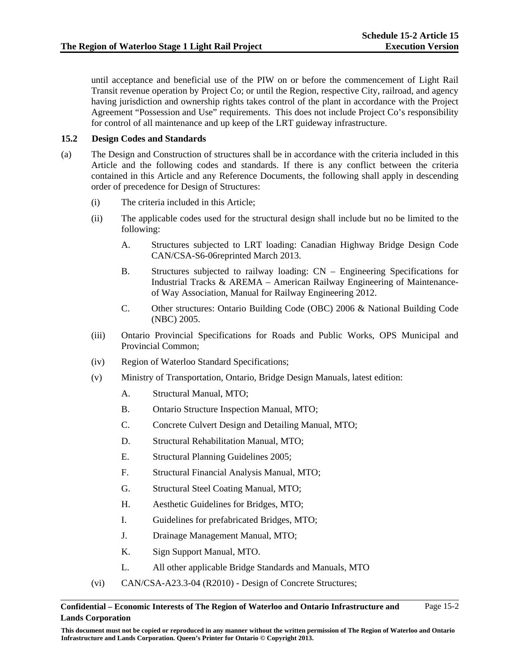until acceptance and beneficial use of the PIW on or before the commencement of Light Rail Transit revenue operation by Project Co; or until the Region, respective City, railroad, and agency having jurisdiction and ownership rights takes control of the plant in accordance with the Project Agreement "Possession and Use" requirements. This does not include Project Co's responsibility for control of all maintenance and up keep of the LRT guideway infrastructure.

## **15.2 Design Codes and Standards**

- (a) The Design and Construction of structures shall be in accordance with the criteria included in this Article and the following codes and standards. If there is any conflict between the criteria contained in this Article and any Reference Documents, the following shall apply in descending order of precedence for Design of Structures:
	- (i) The criteria included in this Article;
	- (ii) The applicable codes used for the structural design shall include but no be limited to the following:
		- A. Structures subjected to LRT loading: Canadian Highway Bridge Design Code CAN/CSA-S6-06reprinted March 2013.
		- B. Structures subjected to railway loading: CN Engineering Specifications for Industrial Tracks & AREMA – American Railway Engineering of Maintenanceof Way Association, Manual for Railway Engineering 2012.
		- C. Other structures: Ontario Building Code (OBC) 2006 & National Building Code (NBC) 2005.
	- (iii) Ontario Provincial Specifications for Roads and Public Works, OPS Municipal and Provincial Common;
	- (iv) Region of Waterloo Standard Specifications;
	- (v) Ministry of Transportation, Ontario, Bridge Design Manuals, latest edition:
		- A. Structural Manual, MTO;
		- B. Ontario Structure Inspection Manual, MTO;
		- C. Concrete Culvert Design and Detailing Manual, MTO;
		- D. Structural Rehabilitation Manual, MTO;
		- E. Structural Planning Guidelines 2005;
		- F. Structural Financial Analysis Manual, MTO;
		- G. Structural Steel Coating Manual, MTO;
		- H. Aesthetic Guidelines for Bridges, MTO;
		- I. Guidelines for prefabricated Bridges, MTO;
		- J. Drainage Management Manual, MTO;
		- K. Sign Support Manual, MTO.
		- L. All other applicable Bridge Standards and Manuals, MTO
	- (vi) CAN/CSA-A23.3-04 (R2010) Design of Concrete Structures;

#### **Confidential – Economic Interests of The Region of Waterloo and Ontario Infrastructure and Lands Corporation**  Page 15-2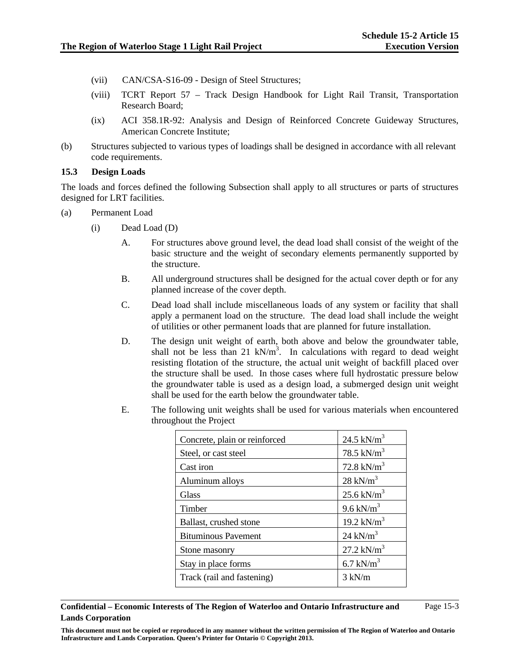- (vii) CAN/CSA-S16-09 Design of Steel Structures;
- (viii) TCRT Report 57 Track Design Handbook for Light Rail Transit, Transportation Research Board;
- (ix) ACI 358.1R-92: Analysis and Design of Reinforced Concrete Guideway Structures, American Concrete Institute;
- (b) Structures subjected to various types of loadings shall be designed in accordance with all relevant code requirements.

#### **15.3 Design Loads**

The loads and forces defined the following Subsection shall apply to all structures or parts of structures designed for LRT facilities.

- (a) Permanent Load
	- (i) Dead Load (D)
		- A. For structures above ground level, the dead load shall consist of the weight of the basic structure and the weight of secondary elements permanently supported by the structure.
		- B. All underground structures shall be designed for the actual cover depth or for any planned increase of the cover depth.
		- C. Dead load shall include miscellaneous loads of any system or facility that shall apply a permanent load on the structure. The dead load shall include the weight of utilities or other permanent loads that are planned for future installation.
		- D. The design unit weight of earth, both above and below the groundwater table, shall not be less than  $21 \text{ kN/m}^3$ . In calculations with regard to dead weight resisting flotation of the structure, the actual unit weight of backfill placed over the structure shall be used. In those cases where full hydrostatic pressure below the groundwater table is used as a design load, a submerged design unit weight shall be used for the earth below the groundwater table.
		- E. The following unit weights shall be used for various materials when encountered throughout the Project

| Concrete, plain or reinforced | 24.5 $kN/m^3$          |
|-------------------------------|------------------------|
| Steel, or cast steel          | 78.5 kN/ $m^3$         |
| Cast iron                     | 72.8 kN/ $m^3$         |
| Aluminum alloys               | $28$ kN/m <sup>3</sup> |
| Glass                         | $25.6 \text{ kN/m}^3$  |
| Timber                        | 9.6 kN/ $m3$           |
| Ballast, crushed stone        | 19.2 kN/ $m^3$         |
| <b>Bituminous Pavement</b>    | $24$ kN/m <sup>3</sup> |
| Stone masonry                 | $27.2 \text{ kN/m}^3$  |
| Stay in place forms           | 6.7 kN/ $m3$           |
| Track (rail and fastening)    | $3 \text{ kN/m}$       |

**Confidential – Economic Interests of The Region of Waterloo and Ontario Infrastructure and Lands Corporation** 

**This document must not be copied or reproduced in any manner without the written permission of The Region of Waterloo and Ontario Infrastructure and Lands Corporation. Queen's Printer for Ontario © Copyright 2013.**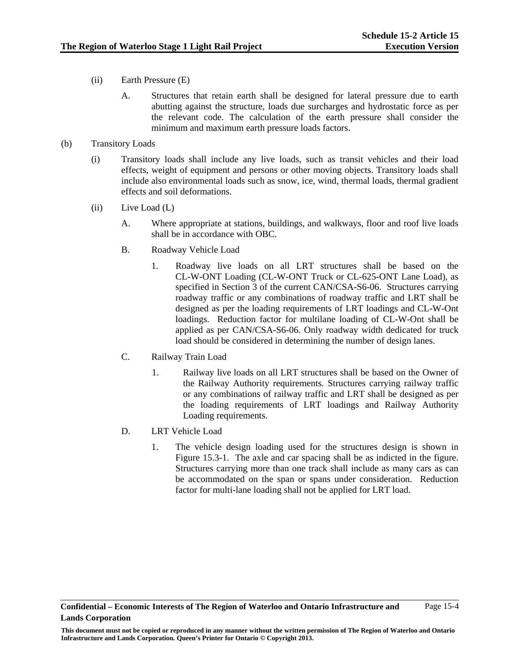- (ii) Earth Pressure (E)
	- A. Structures that retain earth shall be designed for lateral pressure due to earth abutting against the structure, loads due surcharges and hydrostatic force as per the relevant code. The calculation of the earth pressure shall consider the minimum and maximum earth pressure loads factors.
- (b) Transitory Loads
	- (i) Transitory loads shall include any live loads, such as transit vehicles and their load effects, weight of equipment and persons or other moving objects. Transitory loads shall include also environmental loads such as snow, ice, wind, thermal loads, thermal gradient effects and soil deformations.
	- (ii) Live Load (L)
		- A. Where appropriate at stations, buildings, and walkways, floor and roof live loads shall be in accordance with OBC.
		- B. Roadway Vehicle Load
			- 1. Roadway live loads on all LRT structures shall be based on the CL-W-ONT Loading (CL-W-ONT Truck or CL-625-ONT Lane Load), as specified in Section 3 of the current CAN/CSA-S6-06. Structures carrying roadway traffic or any combinations of roadway traffic and LRT shall be designed as per the loading requirements of LRT loadings and CL-W-Ont loadings. Reduction factor for multilane loading of CL-W-Ont shall be applied as per CAN/CSA-S6-06. Only roadway width dedicated for truck load should be considered in determining the number of design lanes.
		- C. Railway Train Load
			- 1. Railway live loads on all LRT structures shall be based on the Owner of the Railway Authority requirements. Structures carrying railway traffic or any combinations of railway traffic and LRT shall be designed as per the loading requirements of LRT loadings and Railway Authority Loading requirements.
		- D. LRT Vehicle Load
			- 1. The vehicle design loading used for the structures design is shown in Figure 15.3-1. The axle and car spacing shall be as indicted in the figure. Structures carrying more than one track shall include as many cars as can be accommodated on the span or spans under consideration. Reduction factor for multi-lane loading shall not be applied for LRT load.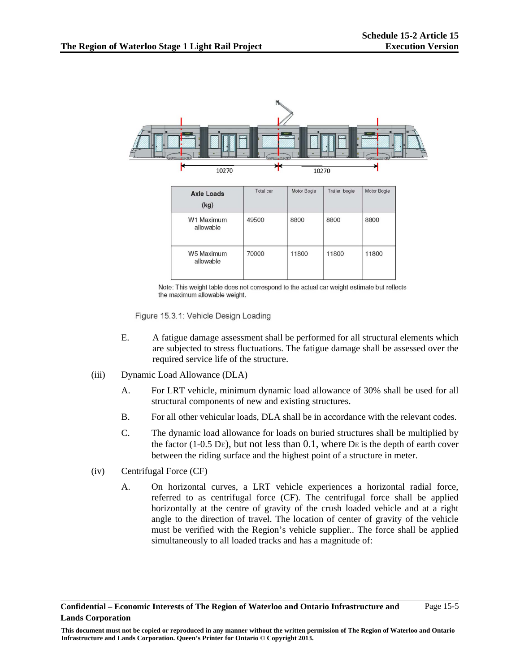

Note: This weight table does not correspond to the actual car weight estimate but reflects the maximum allowable weight.

Figure 15.3.1: Vehicle Design Loading

- E. A fatigue damage assessment shall be performed for all structural elements which are subjected to stress fluctuations. The fatigue damage shall be assessed over the required service life of the structure.
- (iii) Dynamic Load Allowance (DLA)
	- A. For LRT vehicle, minimum dynamic load allowance of 30% shall be used for all structural components of new and existing structures.
	- B. For all other vehicular loads, DLA shall be in accordance with the relevant codes.
	- C. The dynamic load allowance for loads on buried structures shall be multiplied by the factor (1-0.5 DE), but not less than  $0.1$ , where DE is the depth of earth cover between the riding surface and the highest point of a structure in meter.
- (iv) Centrifugal Force (CF)
	- A. On horizontal curves, a LRT vehicle experiences a horizontal radial force, referred to as centrifugal force (CF). The centrifugal force shall be applied horizontally at the centre of gravity of the crush loaded vehicle and at a right angle to the direction of travel. The location of center of gravity of the vehicle must be verified with the Region's vehicle supplier.. The force shall be applied simultaneously to all loaded tracks and has a magnitude of: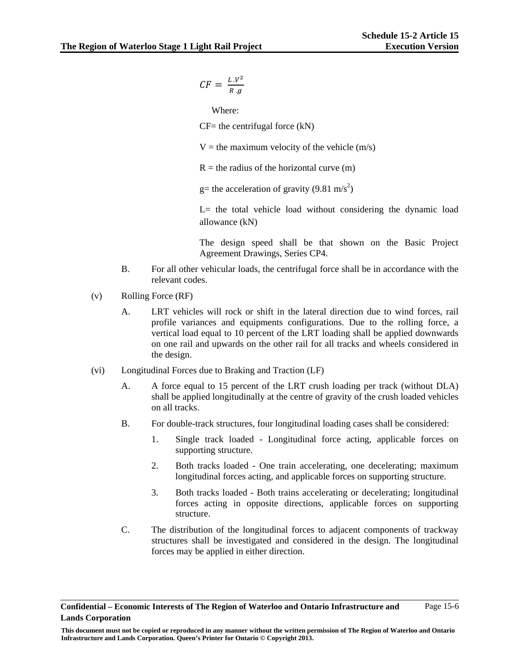$$
CF = \frac{L.V^2}{R.g}
$$

Where:

 $CF=$  the centrifugal force  $(kN)$ 

 $V =$  the maximum velocity of the vehicle (m/s)

 $R =$  the radius of the horizontal curve  $(m)$ 

g= the acceleration of gravity (9.81 m/s<sup>2</sup>)

L= the total vehicle load without considering the dynamic load allowance (kN)

The design speed shall be that shown on the Basic Project Agreement Drawings, Series CP4.

- B. For all other vehicular loads, the centrifugal force shall be in accordance with the relevant codes.
- (v) Rolling Force (RF)
	- A. LRT vehicles will rock or shift in the lateral direction due to wind forces, rail profile variances and equipments configurations. Due to the rolling force, a vertical load equal to 10 percent of the LRT loading shall be applied downwards on one rail and upwards on the other rail for all tracks and wheels considered in the design.
- (vi) Longitudinal Forces due to Braking and Traction (LF)
	- A. A force equal to 15 percent of the LRT crush loading per track (without DLA) shall be applied longitudinally at the centre of gravity of the crush loaded vehicles on all tracks.
	- B. For double-track structures, four longitudinal loading cases shall be considered:
		- 1. Single track loaded Longitudinal force acting, applicable forces on supporting structure.
		- 2. Both tracks loaded One train accelerating, one decelerating; maximum longitudinal forces acting, and applicable forces on supporting structure.
		- 3. Both tracks loaded Both trains accelerating or decelerating; longitudinal forces acting in opposite directions, applicable forces on supporting structure.
	- C. The distribution of the longitudinal forces to adjacent components of trackway structures shall be investigated and considered in the design. The longitudinal forces may be applied in either direction.

**Confidential – Economic Interests of The Region of Waterloo and Ontario Infrastructure and Lands Corporation**  Page 15-6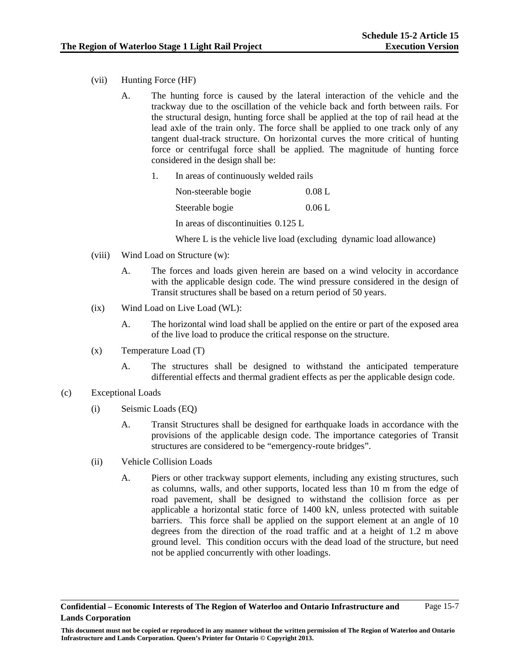- (vii) Hunting Force (HF)
	- A. The hunting force is caused by the lateral interaction of the vehicle and the trackway due to the oscillation of the vehicle back and forth between rails. For the structural design, hunting force shall be applied at the top of rail head at the lead axle of the train only. The force shall be applied to one track only of any tangent dual-track structure. On horizontal curves the more critical of hunting force or centrifugal force shall be applied. The magnitude of hunting force considered in the design shall be:
		- 1. In areas of continuously welded rails

Non-steerable bogie 0.08 L Steerable bogie 0.06 L In areas of discontinuities 0.125 L

Where L is the vehicle live load (excluding dynamic load allowance)

- (viii) Wind Load on Structure (w):
	- A. The forces and loads given herein are based on a wind velocity in accordance with the applicable design code. The wind pressure considered in the design of Transit structures shall be based on a return period of 50 years.
- (ix) Wind Load on Live Load (WL):
	- A. The horizontal wind load shall be applied on the entire or part of the exposed area of the live load to produce the critical response on the structure.
- (x) Temperature Load (T)
	- A. The structures shall be designed to withstand the anticipated temperature differential effects and thermal gradient effects as per the applicable design code.
- (c) Exceptional Loads
	- (i) Seismic Loads (EQ)
		- A. Transit Structures shall be designed for earthquake loads in accordance with the provisions of the applicable design code. The importance categories of Transit structures are considered to be "emergency-route bridges".
	- (ii) Vehicle Collision Loads
		- A. Piers or other trackway support elements, including any existing structures, such as columns, walls, and other supports, located less than 10 m from the edge of road pavement, shall be designed to withstand the collision force as per applicable a horizontal static force of 1400 kN, unless protected with suitable barriers. This force shall be applied on the support element at an angle of 10 degrees from the direction of the road traffic and at a height of 1.2 m above ground level. This condition occurs with the dead load of the structure, but need not be applied concurrently with other loadings.

**This document must not be copied or reproduced in any manner without the written permission of The Region of Waterloo and Ontario Infrastructure and Lands Corporation. Queen's Printer for Ontario © Copyright 2013.**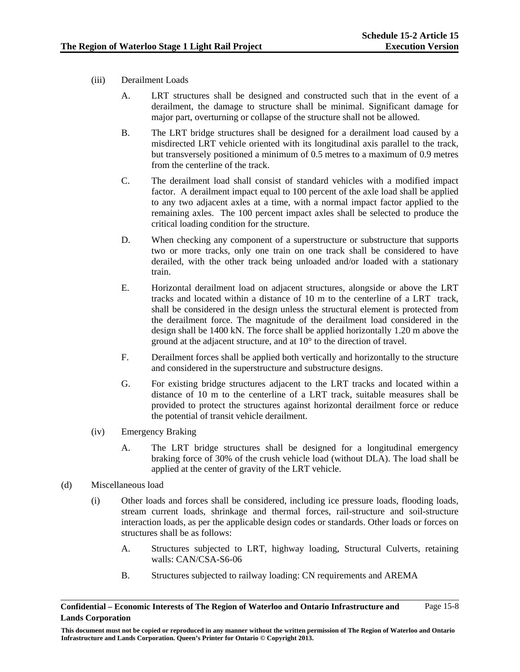- (iii) Derailment Loads
	- A. LRT structures shall be designed and constructed such that in the event of a derailment, the damage to structure shall be minimal. Significant damage for major part, overturning or collapse of the structure shall not be allowed.
	- B. The LRT bridge structures shall be designed for a derailment load caused by a misdirected LRT vehicle oriented with its longitudinal axis parallel to the track, but transversely positioned a minimum of 0.5 metres to a maximum of 0.9 metres from the centerline of the track.
	- C. The derailment load shall consist of standard vehicles with a modified impact factor. A derailment impact equal to 100 percent of the axle load shall be applied to any two adjacent axles at a time, with a normal impact factor applied to the remaining axles. The 100 percent impact axles shall be selected to produce the critical loading condition for the structure.
	- D. When checking any component of a superstructure or substructure that supports two or more tracks, only one train on one track shall be considered to have derailed, with the other track being unloaded and/or loaded with a stationary train.
	- E. Horizontal derailment load on adjacent structures, alongside or above the LRT tracks and located within a distance of 10 m to the centerline of a LRT track, shall be considered in the design unless the structural element is protected from the derailment force. The magnitude of the derailment load considered in the design shall be 1400 kN. The force shall be applied horizontally 1.20 m above the ground at the adjacent structure, and at 10° to the direction of travel.
	- F. Derailment forces shall be applied both vertically and horizontally to the structure and considered in the superstructure and substructure designs.
	- G. For existing bridge structures adjacent to the LRT tracks and located within a distance of 10 m to the centerline of a LRT track, suitable measures shall be provided to protect the structures against horizontal derailment force or reduce the potential of transit vehicle derailment.
- (iv) Emergency Braking
	- A. The LRT bridge structures shall be designed for a longitudinal emergency braking force of 30% of the crush vehicle load (without DLA). The load shall be applied at the center of gravity of the LRT vehicle.

# (d) Miscellaneous load

- (i) Other loads and forces shall be considered, including ice pressure loads, flooding loads, stream current loads, shrinkage and thermal forces, rail-structure and soil-structure interaction loads, as per the applicable design codes or standards. Other loads or forces on structures shall be as follows:
	- A. Structures subjected to LRT, highway loading, Structural Culverts, retaining walls: CAN/CSA-S6-06
	- B. Structures subjected to railway loading: CN requirements and AREMA

**Confidential – Economic Interests of The Region of Waterloo and Ontario Infrastructure and Lands Corporation**  Page 15-8

**This document must not be copied or reproduced in any manner without the written permission of The Region of Waterloo and Ontario Infrastructure and Lands Corporation. Queen's Printer for Ontario © Copyright 2013.**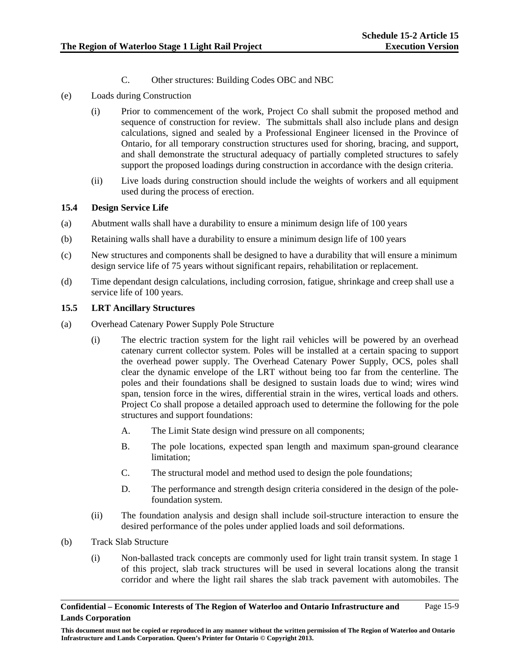- C. Other structures: Building Codes OBC and NBC
- (e) Loads during Construction
	- (i) Prior to commencement of the work, Project Co shall submit the proposed method and sequence of construction for review. The submittals shall also include plans and design calculations, signed and sealed by a Professional Engineer licensed in the Province of Ontario, for all temporary construction structures used for shoring, bracing, and support, and shall demonstrate the structural adequacy of partially completed structures to safely support the proposed loadings during construction in accordance with the design criteria.
	- (ii) Live loads during construction should include the weights of workers and all equipment used during the process of erection.

### **15.4 Design Service Life**

- (a) Abutment walls shall have a durability to ensure a minimum design life of 100 years
- (b) Retaining walls shall have a durability to ensure a minimum design life of 100 years
- (c) New structures and components shall be designed to have a durability that will ensure a minimum design service life of 75 years without significant repairs, rehabilitation or replacement.
- (d) Time dependant design calculations, including corrosion, fatigue, shrinkage and creep shall use a service life of 100 years.

### **15.5 LRT Ancillary Structures**

- (a) Overhead Catenary Power Supply Pole Structure
	- (i) The electric traction system for the light rail vehicles will be powered by an overhead catenary current collector system. Poles will be installed at a certain spacing to support the overhead power supply. The Overhead Catenary Power Supply, OCS, poles shall clear the dynamic envelope of the LRT without being too far from the centerline. The poles and their foundations shall be designed to sustain loads due to wind; wires wind span, tension force in the wires, differential strain in the wires, vertical loads and others. Project Co shall propose a detailed approach used to determine the following for the pole structures and support foundations:
		- A. The Limit State design wind pressure on all components;
		- B. The pole locations, expected span length and maximum span-ground clearance limitation;
		- C. The structural model and method used to design the pole foundations;
		- D. The performance and strength design criteria considered in the design of the polefoundation system.
	- (ii) The foundation analysis and design shall include soil-structure interaction to ensure the desired performance of the poles under applied loads and soil deformations.
- (b) Track Slab Structure
	- (i) Non-ballasted track concepts are commonly used for light train transit system. In stage 1 of this project, slab track structures will be used in several locations along the transit corridor and where the light rail shares the slab track pavement with automobiles. The

**This document must not be copied or reproduced in any manner without the written permission of The Region of Waterloo and Ontario Infrastructure and Lands Corporation. Queen's Printer for Ontario © Copyright 2013.**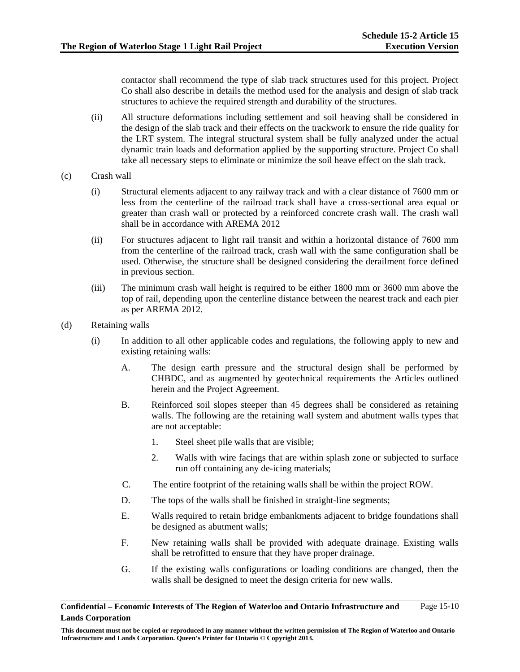contactor shall recommend the type of slab track structures used for this project. Project Co shall also describe in details the method used for the analysis and design of slab track structures to achieve the required strength and durability of the structures.

- (ii) All structure deformations including settlement and soil heaving shall be considered in the design of the slab track and their effects on the trackwork to ensure the ride quality for the LRT system. The integral structural system shall be fully analyzed under the actual dynamic train loads and deformation applied by the supporting structure. Project Co shall take all necessary steps to eliminate or minimize the soil heave effect on the slab track.
- (c) Crash wall
	- (i) Structural elements adjacent to any railway track and with a clear distance of 7600 mm or less from the centerline of the railroad track shall have a cross-sectional area equal or greater than crash wall or protected by a reinforced concrete crash wall. The crash wall shall be in accordance with AREMA 2012
	- (ii) For structures adjacent to light rail transit and within a horizontal distance of 7600 mm from the centerline of the railroad track, crash wall with the same configuration shall be used. Otherwise, the structure shall be designed considering the derailment force defined in previous section.
	- (iii) The minimum crash wall height is required to be either 1800 mm or 3600 mm above the top of rail, depending upon the centerline distance between the nearest track and each pier as per AREMA 2012.
- (d) Retaining walls
	- (i) In addition to all other applicable codes and regulations, the following apply to new and existing retaining walls:
		- A. The design earth pressure and the structural design shall be performed by CHBDC, and as augmented by geotechnical requirements the Articles outlined herein and the Project Agreement.
		- B. Reinforced soil slopes steeper than 45 degrees shall be considered as retaining walls. The following are the retaining wall system and abutment walls types that are not acceptable:
			- 1. Steel sheet pile walls that are visible;
			- 2. Walls with wire facings that are within splash zone or subjected to surface run off containing any de-icing materials;
		- C. The entire footprint of the retaining walls shall be within the project ROW.
		- D. The tops of the walls shall be finished in straight-line segments;
		- E. Walls required to retain bridge embankments adjacent to bridge foundations shall be designed as abutment walls;
		- F. New retaining walls shall be provided with adequate drainage. Existing walls shall be retrofitted to ensure that they have proper drainage.
		- G. If the existing walls configurations or loading conditions are changed, then the walls shall be designed to meet the design criteria for new walls.

**Confidential – Economic Interests of The Region of Waterloo and Ontario Infrastructure and Lands Corporation**  Page 15-10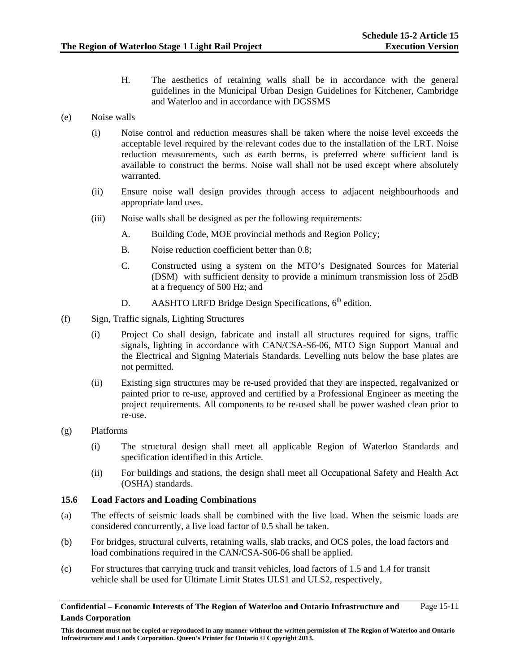H. The aesthetics of retaining walls shall be in accordance with the general guidelines in the Municipal Urban Design Guidelines for Kitchener, Cambridge and Waterloo and in accordance with DGSSMS

# (e) Noise walls

- (i) Noise control and reduction measures shall be taken where the noise level exceeds the acceptable level required by the relevant codes due to the installation of the LRT. Noise reduction measurements, such as earth berms, is preferred where sufficient land is available to construct the berms. Noise wall shall not be used except where absolutely warranted.
- (ii) Ensure noise wall design provides through access to adjacent neighbourhoods and appropriate land uses.
- (iii) Noise walls shall be designed as per the following requirements:
	- A. Building Code, MOE provincial methods and Region Policy;
	- B. Noise reduction coefficient better than 0.8;
	- C. Constructed using a system on the MTO's Designated Sources for Material (DSM) with sufficient density to provide a minimum transmission loss of 25dB at a frequency of 500 Hz; and
	- D. AASHTO LRFD Bridge Design Specifications,  $6<sup>th</sup>$  edition.
- (f) Sign, Traffic signals, Lighting Structures
	- (i) Project Co shall design, fabricate and install all structures required for signs, traffic signals, lighting in accordance with CAN/CSA-S6-06, MTO Sign Support Manual and the Electrical and Signing Materials Standards. Levelling nuts below the base plates are not permitted.
	- (ii) Existing sign structures may be re-used provided that they are inspected, regalvanized or painted prior to re-use, approved and certified by a Professional Engineer as meeting the project requirements. All components to be re-used shall be power washed clean prior to re-use.
- (g) Platforms
	- (i) The structural design shall meet all applicable Region of Waterloo Standards and specification identified in this Article.
	- (ii) For buildings and stations, the design shall meet all Occupational Safety and Health Act (OSHA) standards.

### **15.6 Load Factors and Loading Combinations**

- (a) The effects of seismic loads shall be combined with the live load. When the seismic loads are considered concurrently, a live load factor of 0.5 shall be taken.
- (b) For bridges, structural culverts, retaining walls, slab tracks, and OCS poles, the load factors and load combinations required in the CAN/CSA-S06-06 shall be applied.
- (c) For structures that carrying truck and transit vehicles, load factors of 1.5 and 1.4 for transit vehicle shall be used for Ultimate Limit States ULS1 and ULS2, respectively,

#### **Confidential – Economic Interests of The Region of Waterloo and Ontario Infrastructure and Lands Corporation**  Page 15-11

**This document must not be copied or reproduced in any manner without the written permission of The Region of Waterloo and Ontario Infrastructure and Lands Corporation. Queen's Printer for Ontario © Copyright 2013.**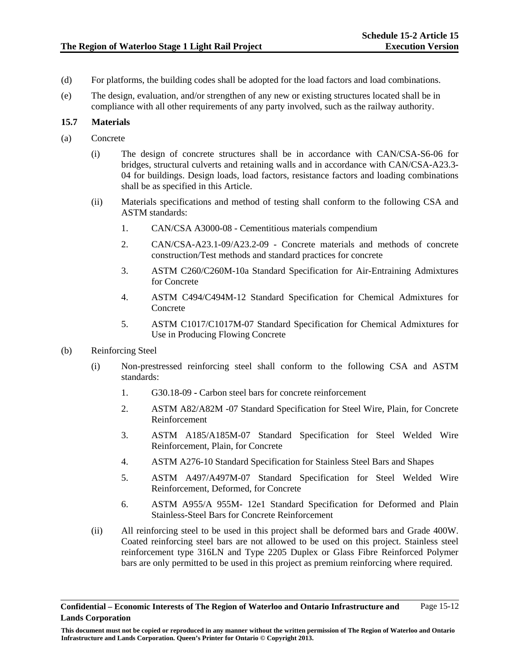- (d) For platforms, the building codes shall be adopted for the load factors and load combinations.
- (e) The design, evaluation, and/or strengthen of any new or existing structures located shall be in compliance with all other requirements of any party involved, such as the railway authority.

#### **15.7 Materials**

- (a) Concrete
	- (i) The design of concrete structures shall be in accordance with CAN/CSA-S6-06 for bridges, structural culverts and retaining walls and in accordance with CAN/CSA-A23.3- 04 for buildings. Design loads, load factors, resistance factors and loading combinations shall be as specified in this Article.
	- (ii) Materials specifications and method of testing shall conform to the following CSA and ASTM standards:
		- 1. CAN/CSA A3000-08 Cementitious materials compendium
		- 2. CAN/CSA-A23.1-09/A23.2-09 Concrete materials and methods of concrete construction/Test methods and standard practices for concrete
		- 3. ASTM C260/C260M-10a Standard Specification for Air-Entraining Admixtures for Concrete
		- 4. ASTM C494/C494M-12 Standard Specification for Chemical Admixtures for Concrete
		- 5. ASTM C1017/C1017M-07 Standard Specification for Chemical Admixtures for Use in Producing Flowing Concrete
- (b) Reinforcing Steel
	- (i) Non-prestressed reinforcing steel shall conform to the following CSA and ASTM standards:
		- 1. G30.18-09 Carbon steel bars for concrete reinforcement
		- 2. ASTM A82/A82M -07 Standard Specification for Steel Wire, Plain, for Concrete Reinforcement
		- 3. ASTM A185/A185M-07 Standard Specification for Steel Welded Wire Reinforcement, Plain, for Concrete
		- 4. ASTM A276-10 Standard Specification for Stainless Steel Bars and Shapes
		- 5. ASTM A497/A497M-07 Standard Specification for Steel Welded Wire Reinforcement, Deformed, for Concrete
		- 6. ASTM A955/A 955M- 12e1 Standard Specification for Deformed and Plain Stainless-Steel Bars for Concrete Reinforcement
	- (ii) All reinforcing steel to be used in this project shall be deformed bars and Grade 400W. Coated reinforcing steel bars are not allowed to be used on this project. Stainless steel reinforcement type 316LN and Type 2205 Duplex or Glass Fibre Reinforced Polymer bars are only permitted to be used in this project as premium reinforcing where required.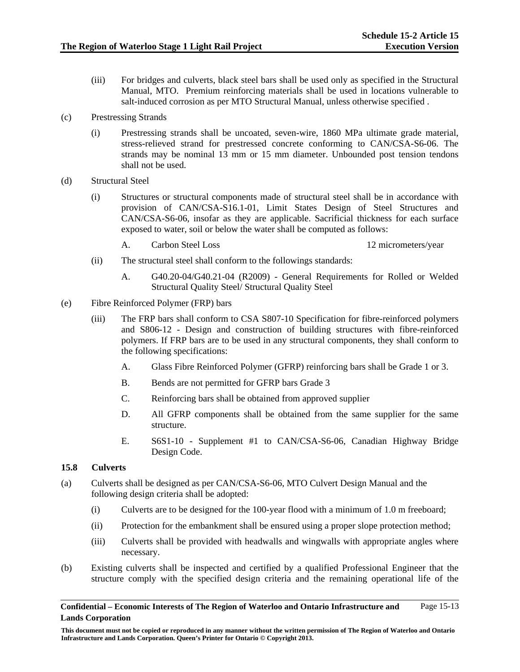- (iii) For bridges and culverts, black steel bars shall be used only as specified in the Structural Manual, MTO. Premium reinforcing materials shall be used in locations vulnerable to salt-induced corrosion as per MTO Structural Manual, unless otherwise specified .
- (c) Prestressing Strands
	- (i) Prestressing strands shall be uncoated, seven-wire, 1860 MPa ultimate grade material, stress-relieved strand for prestressed concrete conforming to CAN/CSA-S6-06. The strands may be nominal 13 mm or 15 mm diameter. Unbounded post tension tendons shall not be used.
- (d) Structural Steel
	- (i) Structures or structural components made of structural steel shall be in accordance with provision of CAN/CSA-S16.1-01, Limit States Design of Steel Structures and CAN/CSA-S6-06, insofar as they are applicable. Sacrificial thickness for each surface exposed to water, soil or below the water shall be computed as follows:
		- A. Carbon Steel Loss 12 micrometers/year

- (ii) The structural steel shall conform to the followings standards:
	- A. G40.20-04/G40.21-04 (R2009) General Requirements for Rolled or Welded Structural Quality Steel/ Structural Quality Steel
- (e) Fibre Reinforced Polymer (FRP) bars
	- (iii) The FRP bars shall conform to CSA S807-10 Specification for fibre-reinforced polymers and S806-12 - Design and construction of building structures with fibre-reinforced polymers. If FRP bars are to be used in any structural components, they shall conform to the following specifications:
		- A. Glass Fibre Reinforced Polymer (GFRP) reinforcing bars shall be Grade 1 or 3.
		- B. Bends are not permitted for GFRP bars Grade 3
		- C. Reinforcing bars shall be obtained from approved supplier
		- D. All GFRP components shall be obtained from the same supplier for the same structure.
		- E. S6S1-10 Supplement #1 to CAN/CSA-S6-06, Canadian Highway Bridge Design Code.

### **15.8 Culverts**

- (a) Culverts shall be designed as per CAN/CSA-S6-06, MTO Culvert Design Manual and the following design criteria shall be adopted:
	- (i) Culverts are to be designed for the 100-year flood with a minimum of 1.0 m freeboard;
	- (ii) Protection for the embankment shall be ensured using a proper slope protection method;
	- (iii) Culverts shall be provided with headwalls and wingwalls with appropriate angles where necessary.
- (b) Existing culverts shall be inspected and certified by a qualified Professional Engineer that the structure comply with the specified design criteria and the remaining operational life of the

**Confidential – Economic Interests of The Region of Waterloo and Ontario Infrastructure and Lands Corporation**  Page 15-13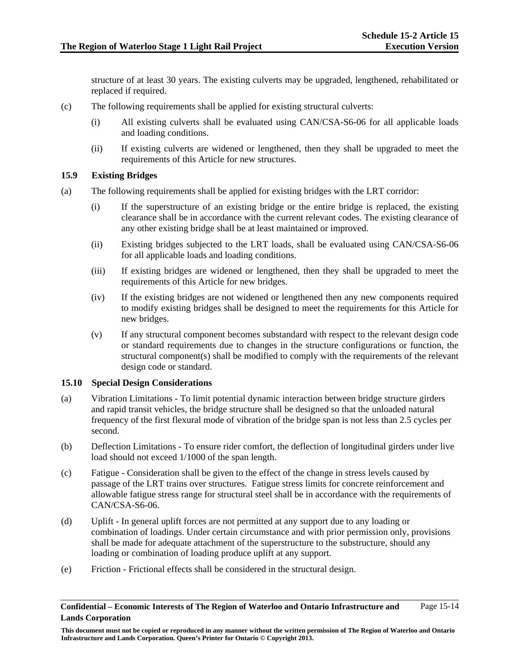structure of at least 30 years. The existing culverts may be upgraded, lengthened, rehabilitated or replaced if required.

- (c) The following requirements shall be applied for existing structural culverts:
	- (i) All existing culverts shall be evaluated using CAN/CSA-S6-06 for all applicable loads and loading conditions.
	- (ii) If existing culverts are widened or lengthened, then they shall be upgraded to meet the requirements of this Article for new structures.

# **15.9 Existing Bridges**

- (a) The following requirements shall be applied for existing bridges with the LRT corridor:
	- (i) If the superstructure of an existing bridge or the entire bridge is replaced, the existing clearance shall be in accordance with the current relevant codes. The existing clearance of any other existing bridge shall be at least maintained or improved.
	- (ii) Existing bridges subjected to the LRT loads, shall be evaluated using CAN/CSA-S6-06 for all applicable loads and loading conditions.
	- (iii) If existing bridges are widened or lengthened, then they shall be upgraded to meet the requirements of this Article for new bridges.
	- (iv) If the existing bridges are not widened or lengthened then any new components required to modify existing bridges shall be designed to meet the requirements for this Article for new bridges.
	- (v) If any structural component becomes substandard with respect to the relevant design code or standard requirements due to changes in the structure configurations or function, the structural component(s) shall be modified to comply with the requirements of the relevant design code or standard.

### **15.10 Special Design Considerations**

- (a) Vibration Limitations To limit potential dynamic interaction between bridge structure girders and rapid transit vehicles, the bridge structure shall be designed so that the unloaded natural frequency of the first flexural mode of vibration of the bridge span is not less than 2.5 cycles per second.
- (b) Deflection Limitations To ensure rider comfort, the deflection of longitudinal girders under live load should not exceed 1/1000 of the span length.
- (c) Fatigue Consideration shall be given to the effect of the change in stress levels caused by passage of the LRT trains over structures. Fatigue stress limits for concrete reinforcement and allowable fatigue stress range for structural steel shall be in accordance with the requirements of CAN/CSA-S6-06.
- (d) Uplift In general uplift forces are not permitted at any support due to any loading or combination of loadings. Under certain circumstance and with prior permission only, provisions shall be made for adequate attachment of the superstructure to the substructure, should any loading or combination of loading produce uplift at any support.
- (e) Friction Frictional effects shall be considered in the structural design.

#### **Confidential – Economic Interests of The Region of Waterloo and Ontario Infrastructure and Lands Corporation**  Page 15-14